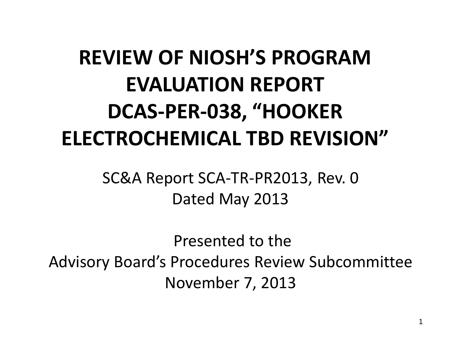#### **REVIEW OF NIOSH'S PROGRAM EVALUATION REPORT DCAS-PER-038, "HOOKER ELECTROCHEMICAL TBD REVISION"**

SC&A Report SCA-TR-PR2013, Rev. 0 Dated May 2013

Presented to the Advisory Board's Procedures Review Subcommittee November 7, 2013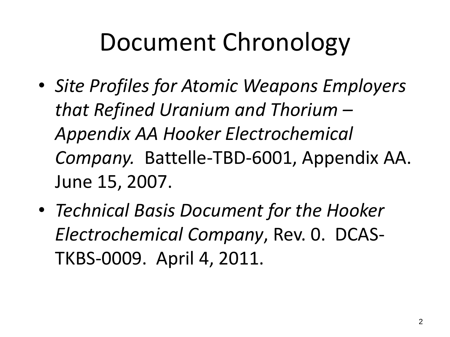## Document Chronology

- *Site Profiles for Atomic Weapons Employers that Refined Uranium and Thorium – Appendix AA Hooker Electrochemical Company.* Battelle-TBD-6001, Appendix AA. June 15, 2007.
- *Technical Basis Document for the Hooker Electrochemical Company*, Rev. 0. DCAS-TKBS-0009. April 4, 2011.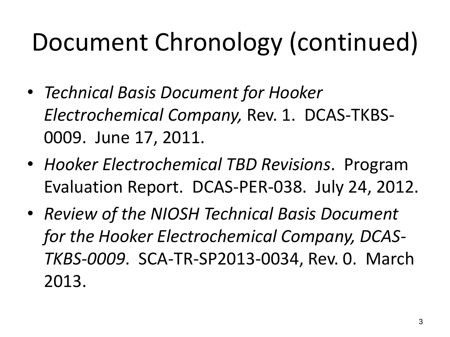# Document Chronology (continued)

- *Technical Basis Document for Hooker Electrochemical Company,* Rev. 1. DCAS-TKBS-0009. June 17, 2011.
- *Hooker Electrochemical TBD Revisions*. Program Evaluation Report. DCAS-PER-038. July 24, 2012.
- *Review of the NIOSH Technical Basis Document for the Hooker Electrochemical Company, DCAS-TKBS-0009*. SCA-TR-SP2013-0034, Rev. 0. March 2013.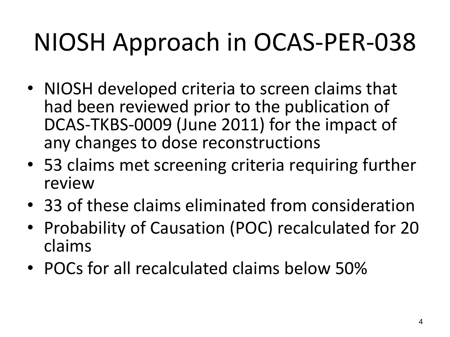# NIOSH Approach in OCAS-PER-038

- NIOSH developed criteria to screen claims that had been reviewed prior to the publication of DCAS-TKBS-0009 (June 2011) for the impact of any changes to dose reconstructions
- 53 claims met screening criteria requiring further review
- 33 of these claims eliminated from consideration
- Probability of Causation (POC) recalculated for 20 claims
- POCs for all recalculated claims below 50%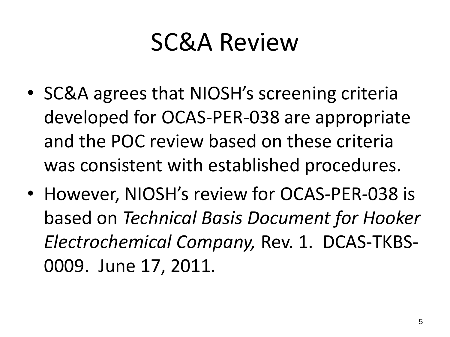#### SC&A Review

- SC&A agrees that NIOSH's screening criteria developed for OCAS-PER-038 are appropriate and the POC review based on these criteria was consistent with established procedures.
- However, NIOSH's review for OCAS-PER-038 is based on *Technical Basis Document for Hooker Electrochemical Company,* Rev. 1. DCAS-TKBS-0009. June 17, 2011.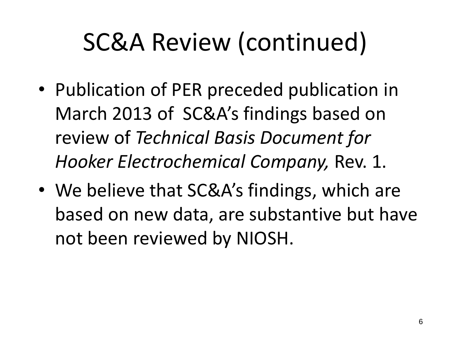## SC&A Review (continued)

- Publication of PER preceded publication in March 2013 of SC&A's findings based on review of *Technical Basis Document for Hooker Electrochemical Company,* Rev. 1.
- We believe that SC&A's findings, which are based on new data, are substantive but have not been reviewed by NIOSH.